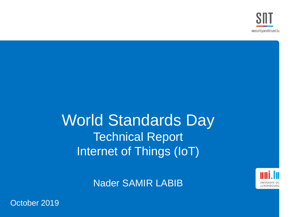# World Standards Day Technical Report Internet of Things (IoT)



Nader SAMIR LABIB

October 2019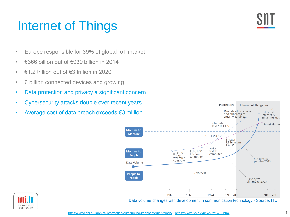## Internet of Things

- Europe responsible for 39% of global IoT market
- €366 billion out of €939 billion in 2014
- $€1.2$  trillion out of  $€3$  trillion in 2020
- 6 billion connected devices and growing
- Data protection and privacy a significant concern
- Cybersecurity attacks double over recent years
- Average cost of data breach exceeds €3 million



**Internet Era** 

Internet of Things Era

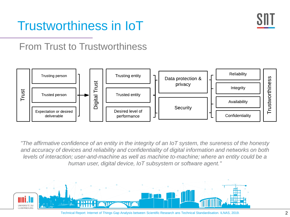

# Trustworthiness in IoT

## From Trust to Trustworthiness



*"The affirmative confidence of an entity in the integrity of an IoT system, the sureness of the honesty and accuracy of devices and reliability and confidentiality of digital information and networks on both levels of interaction; user-and-machine as well as machine to-machine; where an entity could be a human user, digital device, IoT subsystem or software agent."*



Technical Report: Internet of Things Gap Analysis between Scientific Research ans Technical Standardisation. ILNAS, 2019.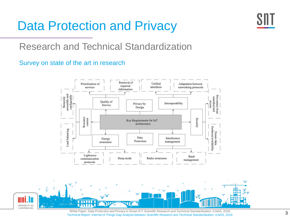## Data Protection and Privacy



## Research and Technical Standardization

### Survey on state of the art in research





White Paper: Data Protection and Privacy in Smart ICT-Scientific Research and Technical Standardization. ILNAS, 2018. Technical Report: Internet of Things Gap Analysis between Scientific Research ans Technical Standardisation. ILNAS, 2019.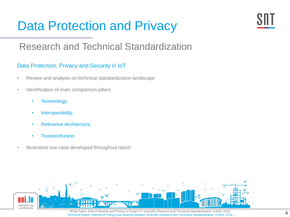# Data Protection and Privacy



## Research and Technical Standardization

### Data Protection, Privacy and Security in IoT

- Review and analysis on technical standardization landscape
- Identification of main comparison pillars
	- *Terminology,*
	- *Interoperability,*
	- *Reference Architecture,*
	- *Trustworthiness*
- Illustrative use-case developed throughout report



White Paper: Data Protection and Privacy in Smart ICT-Scientific Research and Technical Standardization. ILNAS, 2018. Technical Report: Internet of Things Gap Analysis between Scientific Research ans Technical Standardisation. ILNAS, 2019.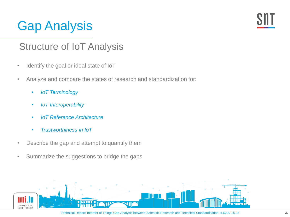# Gap Analysis



## Structure of IoT Analysis

- Identify the goal or ideal state of IoT
- Analyze and compare the states of research and standardization for:
	- *IoT Terminology*
	- *IoT Interoperability*
	- *IoT Reference Architecture*
	- *Trustworthiness in IoT*
- Describe the gap and attempt to quantify them
- Summarize the suggestions to bridge the gaps

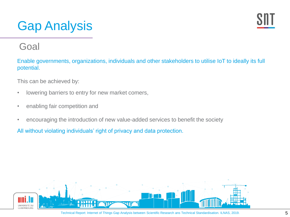# Gap Analysis



### Goal

Enable governments, organizations, individuals and other stakeholders to utilise IoT to ideally its full potential.

This can be achieved by:

- lowering barriers to entry for new market comers,
- enabling fair competition and
- encouraging the introduction of new value-added services to benefit the society

All without violating individuals' right of privacy and data protection.

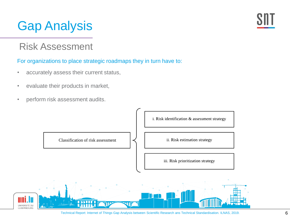# Gap Analysis

### Risk Assessment

### For organizations to place strategic roadmaps they in turn have to:

- accurately assess their current status,
- evaluate their products in market,
- perform risk assessment audits.

Classification of risk assessment

i. Risk identification & assessment strategy

ii. Risk estimation strategy

iii. Risk prioritization strategy

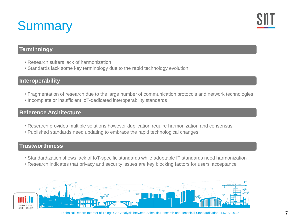# **Summary**



### **Terminology**

- Research suffers lack of harmonization
- Standards lack some key terminology due to the rapid technology evolution

### **Interoperability**

- Fragmentation of research due to the large number of communication protocols and network technologies
- Incomplete or insufficient IoT-dedicated interoperability standards

### **Reference Architecture**

- Research provides multiple solutions however duplication require harmonization and consensus
- Published standards need updating to embrace the rapid technological changes

### **Trustworthiness**

- Standardization shows lack of IoT-specific standards while adoptable IT standards need harmonization
- Research indicates that privacy and security issues are key blocking factors for users' acceptance